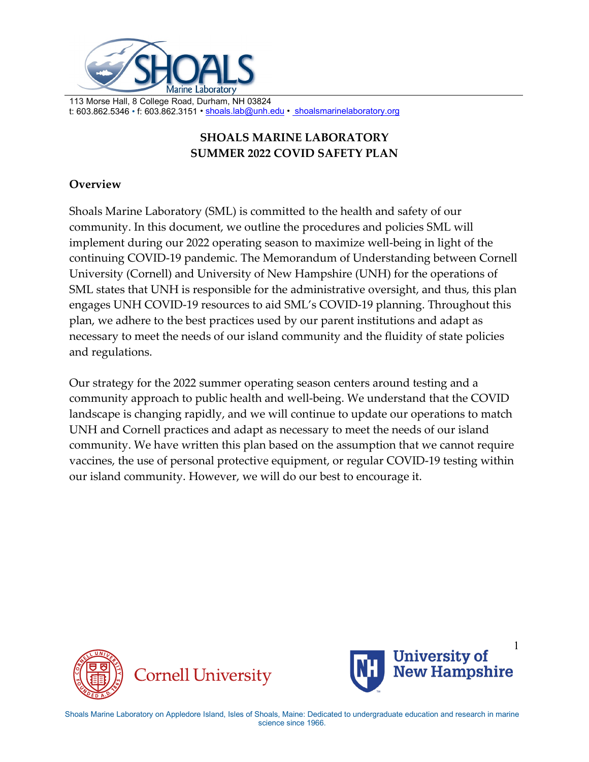

# **SHOALS MARINE LABORATORY SUMMER 2022 COVID SAFETY PLAN**

# **Overview**

Shoals Marine Laboratory (SML) is committed to the health and safety of our community. In this document, we outline the procedures and policies SML will implement during our 2022 operating season to maximize well-being in light of the continuing COVID-19 pandemic. The Memorandum of Understanding between Cornell University (Cornell) and University of New Hampshire (UNH) for the operations of SML states that UNH is responsible for the administrative oversight, and thus, this plan engages UNH COVID-19 resources to aid SML's COVID-19 planning. Throughout this plan, we adhere to the best practices used by our parent institutions and adapt as necessary to meet the needs of our island community and the fluidity of state policies and regulations.

Our strategy for the 2022 summer operating season centers around testing and a community approach to public health and well-being. We understand that the COVID landscape is changing rapidly, and we will continue to update our operations to match UNH and Cornell practices and adapt as necessary to meet the needs of our island community. We have written this plan based on the assumption that we cannot require vaccines, the use of personal protective equipment, or regular COVID-19 testing within our island community. However, we will do our best to encourage it.



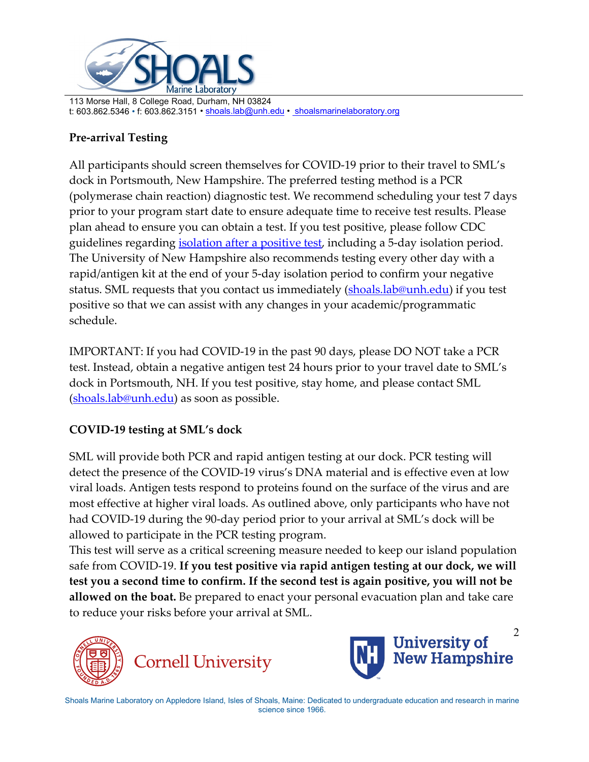

# **Pre-arrival Testing**

All participants should screen themselves for COVID-19 prior to their travel to SML's dock in Portsmouth, New Hampshire. The preferred testing method is a PCR (polymerase chain reaction) diagnostic test. We recommend scheduling your test 7 days prior to your program start date to ensure adequate time to receive test results. Please plan ahead to ensure you can obtain a test. If you test positive, please follow CDC guidelines regarding *isolation after a positive test*, including a 5-day isolation period. The University of New Hampshire also recommends testing every other day with a rapid/antigen kit at the end of your 5-day isolation period to confirm your negative status. SML requests that you contact us immediately [\(shoals.lab@unh.edu\)](mailto:shoals.lab@unh.edu) if you test positive so that we can assist with any changes in your academic/programmatic schedule.

IMPORTANT: If you had COVID-19 in the past 90 days, please DO NOT take a PCR test. Instead, obtain a negative antigen test 24 hours prior to your travel date to SML's dock in Portsmouth, NH. If you test positive, stay home, and please contact SML [\(shoals.lab@unh.edu\)](mailto:shoals.lab@unh.edu) as soon as possible.

## **COVID-19 testing at SML's dock**

SML will provide both PCR and rapid antigen testing at our dock. PCR testing will detect the presence of the COVID-19 virus's DNA material and is effective even at low viral loads. Antigen tests respond to proteins found on the surface of the virus and are most effective at higher viral loads. As outlined above, only participants who have not had COVID-19 during the 90-day period prior to your arrival at SML's dock will be allowed to participate in the PCR testing program.

This test will serve as a critical screening measure needed to keep our island population safe from COVID-19. **If you test positive via rapid antigen testing at our dock, we will test you a second time to confirm. If the second test is again positive, you will not be allowed on the boat.** Be prepared to enact your personal evacuation plan and take care to reduce your risks before your arrival at SML.



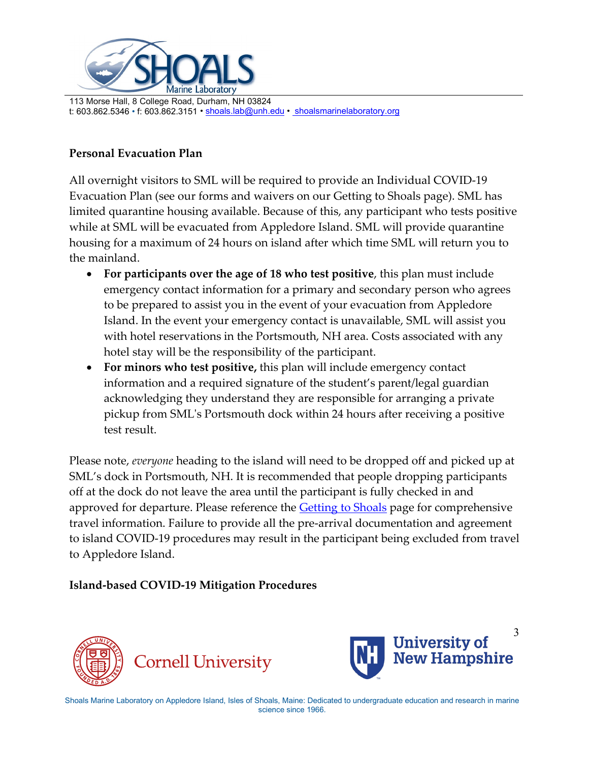

# **Personal Evacuation Plan**

All overnight visitors to SML will be required to provide an Individual COVID-19 Evacuation Plan (see our forms and waivers on our Getting to Shoals page). SML has limited quarantine housing available. Because of this, any participant who tests positive while at SML will be evacuated from Appledore Island. SML will provide quarantine housing for a maximum of 24 hours on island after which time SML will return you to the mainland.

- **For participants over the age of 18 who test positive**, this plan must include emergency contact information for a primary and secondary person who agrees to be prepared to assist you in the event of your evacuation from Appledore Island. In the event your emergency contact is unavailable, SML will assist you with hotel reservations in the Portsmouth, NH area. Costs associated with any hotel stay will be the responsibility of the participant.
- **For minors who test positive,** this plan will include emergency contact information and a required signature of the student's parent/legal guardian acknowledging they understand they are responsible for arranging a private pickup from SML's Portsmouth dock within 24 hours after receiving a positive test result.

Please note, *everyone* heading to the island will need to be dropped off and picked up at SML's dock in Portsmouth, NH. It is recommended that people dropping participants off at the dock do not leave the area until the participant is fully checked in and approved for departure. Please reference the **Getting to Shoals** page for comprehensive travel information. Failure to provide all the pre-arrival documentation and agreement to island COVID-19 procedures may result in the participant being excluded from travel to Appledore Island.

## **Island-based COVID-19 Mitigation Procedures**



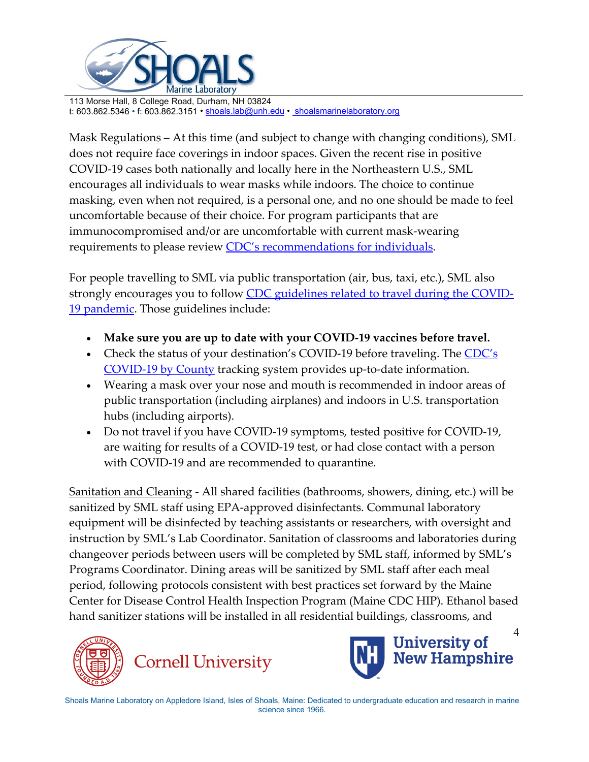

Mask Regulations – At this time (and subject to change with changing conditions), SML does not require face coverings in indoor spaces. Given the recent rise in positive COVID-19 cases both nationally and locally here in the Northeastern U.S., SML encourages all individuals to wear masks while indoors. The choice to continue masking, even when not required, is a personal one, and no one should be made to feel uncomfortable because of their choice. For program participants that are immunocompromised and/or are uncomfortable with current mask-wearing requirements to please review [CDC's recommendations for individuals.](https://nam12.safelinks.protection.outlook.com/?url=https%3A%2F%2Fwww.cdc.gov%2Fcoronavirus%2F2019-ncov%2Fscience%2Fcommunity-levels.html&data=05%7C01%7CDavid.Buck%40unh.edu%7C0284e87610774284fdcb08da2461cecc%7Cd6241893512d46dc8d2bbe47e25f5666%7C0%7C0%7C637862299734236894%7CUnknown%7CTWFpbGZsb3d8eyJWIjoiMC4wLjAwMDAiLCJQIjoiV2luMzIiLCJBTiI6Ik1haWwiLCJXVCI6Mn0%3D%7C3000%7C%7C%7C&sdata=uVuL7ek3E0H%2Fl%2B4hZ7jXEhkjPGutjSTwkdUSieekduQ%3D&reserved=0)

For people travelling to SML via public transportation (air, bus, taxi, etc.), SML also strongly encourages you to follow [CDC guidelines related to travel during the COVID-](https://www.cdc.gov/coronavirus/2019-ncov/travelers/travel-during-covid19.html)[19 pandemic.](https://www.cdc.gov/coronavirus/2019-ncov/travelers/travel-during-covid19.html) Those guidelines include:

- **Make sure you are up to date with your COVID-19 vaccines before travel.**
- Check the status of your destination's COVID-19 before traveling. The CDC's [COVID-19 by County](https://www.cdc.gov/coronavirus/2019-ncov/your-health/covid-by-county.html?ACSTrackingID=USCDC_2145-DM77207&ACSTrackingLabel=3.4.2022%20-%20COVID-19%20Data%20Tracker%20Weekly%20Review&deliveryName=USCDC_2145-DM77207) tracking system provides up-to-date information.
- Wearing a mask over your nose and mouth is recommended in indoor areas of public transportation (including airplanes) and indoors in U.S. transportation hubs (including airports).
- Do not travel if you have COVID-19 symptoms, tested positive for COVID-19, are waiting for results of a COVID-19 test, or had close contact with a person with COVID-19 and are recommended to quarantine.

Sanitation and Cleaning - All shared facilities (bathrooms, showers, dining, etc.) will be sanitized by SML staff using EPA-approved disinfectants. Communal laboratory equipment will be disinfected by teaching assistants or researchers, with oversight and instruction by SML's Lab Coordinator. Sanitation of classrooms and laboratories during changeover periods between users will be completed by SML staff, informed by SML's Programs Coordinator. Dining areas will be sanitized by SML staff after each meal period, following protocols consistent with best practices set forward by the Maine Center for Disease Control Health Inspection Program (Maine CDC HIP). Ethanol based hand sanitizer stations will be installed in all residential buildings, classrooms, and



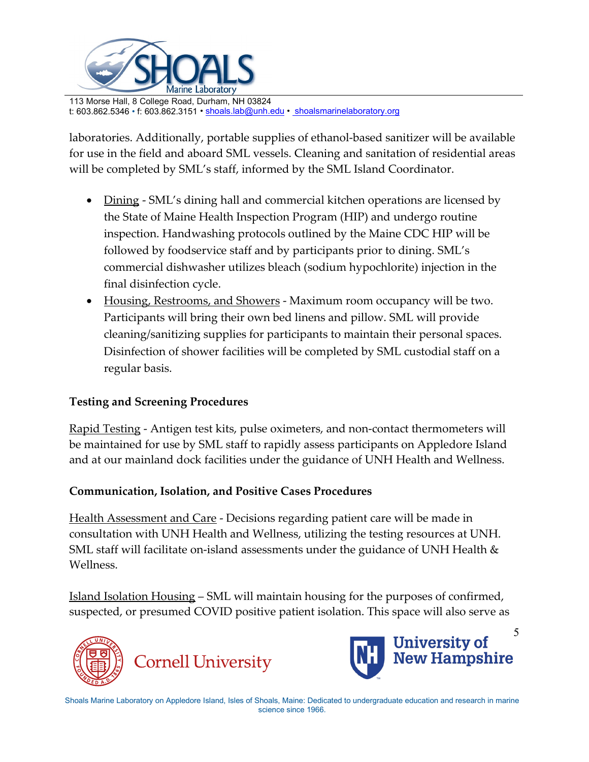

laboratories. Additionally, portable supplies of ethanol-based sanitizer will be available for use in the field and aboard SML vessels. Cleaning and sanitation of residential areas will be completed by SML's staff, informed by the SML Island Coordinator.

- Dining SML's dining hall and commercial kitchen operations are licensed by the State of Maine Health Inspection Program (HIP) and undergo routine inspection. Handwashing protocols outlined by the Maine CDC HIP will be followed by foodservice staff and by participants prior to dining. SML's commercial dishwasher utilizes bleach (sodium hypochlorite) injection in the final disinfection cycle.
- Housing, Restrooms, and Showers Maximum room occupancy will be two. Participants will bring their own bed linens and pillow. SML will provide cleaning/sanitizing supplies for participants to maintain their personal spaces. Disinfection of shower facilities will be completed by SML custodial staff on a regular basis.

## **Testing and Screening Procedures**

Rapid Testing - Antigen test kits, pulse oximeters, and non-contact thermometers will be maintained for use by SML staff to rapidly assess participants on Appledore Island and at our mainland dock facilities under the guidance of UNH Health and Wellness.

## **Communication, Isolation, and Positive Cases Procedures**

Health Assessment and Care - Decisions regarding patient care will be made in consultation with UNH Health and Wellness, utilizing the testing resources at UNH. SML staff will facilitate on-island assessments under the guidance of UNH Health & Wellness.

Island Isolation Housing – SML will maintain housing for the purposes of confirmed, suspected, or presumed COVID positive patient isolation. This space will also serve as